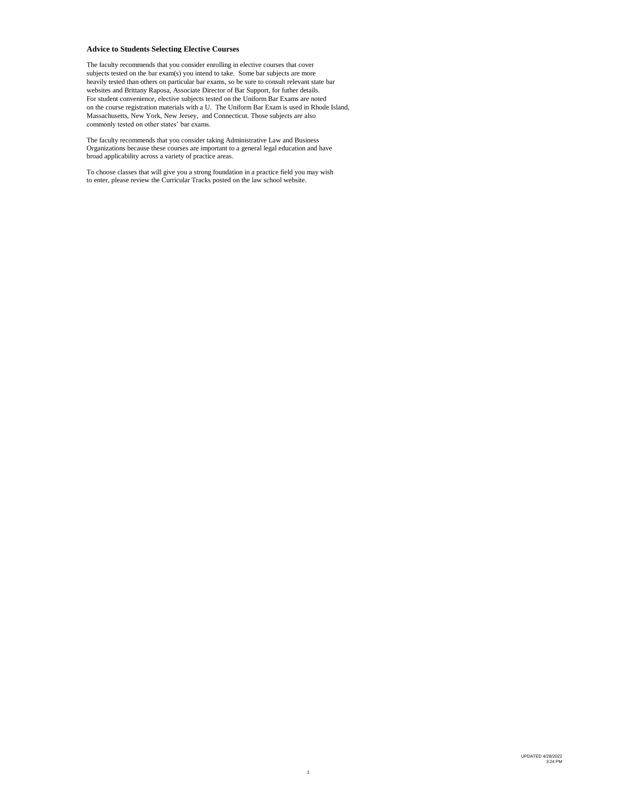# **Advice to Students Selecting Elective Courses**

The faculty recommends that you consider enrolling in elective courses that cover subjects tested on the bar exam(s) you intend to take. Some bar subjects are more heavily tested than others on particular bar exams, so be sure to consult relevant state bar websites and Brittany Raposa, Associate Director of Bar Support, for futher details. For student convenience, elective subjects tested on the Uniform Bar Exams are noted on the course registration materials with a U. The Uniform Bar Exam is used in Rhode Island, Massachusetts, New York, New Jersey, and Connecticut. Those subjects are also commonly tested on other states' bar exams.

The faculty recommends that you consider taking Administrative Law and Business Organizations because these courses are important to a general legal education and have broad applicability across a variety of practice areas.

To choose classes that will give you a strong foundation in a practice field you may wish to enter, please review the Curricular Tracks posted on the law school website.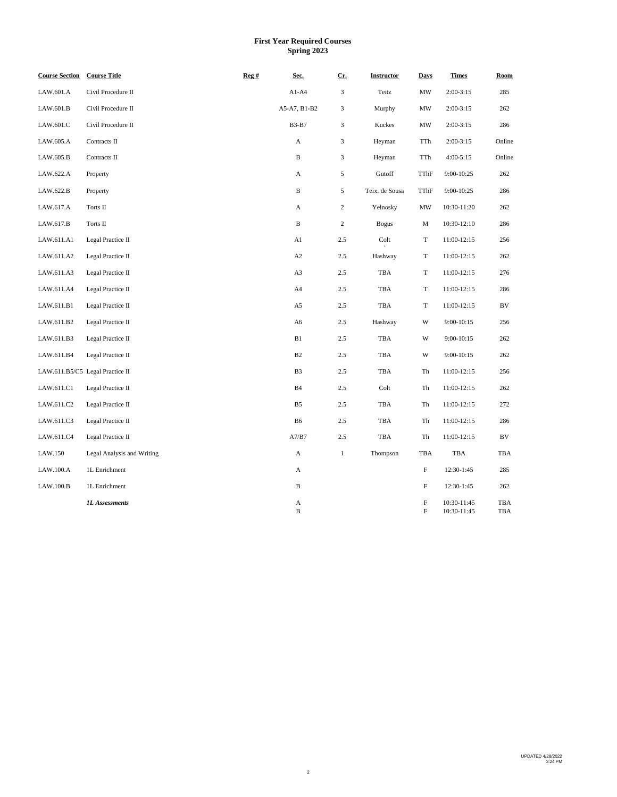# **First Year Required Courses Spring 2023**

| <b>Course Section</b> | <b>Course Title</b>             | Reg # | Sec.           | $Cr$ .         | Instructor     | <b>Days</b>                     | <b>Times</b>               | Room       |
|-----------------------|---------------------------------|-------|----------------|----------------|----------------|---------------------------------|----------------------------|------------|
| LAW.601.A             | Civil Procedure II              |       | $A1-A4$        | 3              | Teitz          | MW                              | $2:00-3:15$                | 285        |
| LAW.601.B             | Civil Procedure II              |       | A5-A7, B1-B2   | 3              | Murphy         | $\ensuremath{\text{MW}}\xspace$ | $2:00-3:15$                | 262        |
| LAW.601.C             | Civil Procedure II              |       | <b>B3-B7</b>   | 3              | Kuckes         | $\ensuremath{\text{MW}}\xspace$ | $2:00-3:15$                | 286        |
| LAW.605.A             | Contracts II                    |       | A              | $\overline{3}$ | Heyman         | TTh                             | $2:00-3:15$                | Online     |
| LAW.605.B             | Contracts II                    |       | B              | 3              | Heyman         | TTh                             | $4:00-5:15$                | Online     |
| LAW.622.A             | Property                        |       | A              | 5              | Gutoff         | TThF                            | 9:00-10:25                 | 262        |
| LAW.622.B             | Property                        |       | B              | 5              | Teix. de Sousa | TThF                            | 9:00-10:25                 | 286        |
| LAW.617.A             | Torts II                        |       | A              | $\overline{c}$ | Yelnosky       | MW                              | 10:30-11:20                | 262        |
| LAW.617.B             | Torts II                        |       | $\, {\bf B}$   | $\overline{c}$ | <b>Bogus</b>   | M                               | 10:30-12:10                | 286        |
| LAW.611.A1            | Legal Practice II               |       | A1             | 2.5            | Colt           | T                               | 11:00-12:15                | 256        |
| LAW.611.A2            | Legal Practice II               |       | A2             | $2.5\,$        | Hashway        | T                               | 11:00-12:15                | 262        |
| LAW.611.A3            | Legal Practice II               |       | A3             | 2.5            | TBA            | T                               | 11:00-12:15                | 276        |
| LAW.611.A4            | Legal Practice II               |       | A4             | $2.5\,$        | <b>TBA</b>     | T                               | 11:00-12:15                | 286        |
| LAW.611.B1            | Legal Practice II               |       | A5             | 2.5            | TBA            | T                               | 11:00-12:15                | BV         |
| LAW.611.B2            | Legal Practice II               |       | A6             | 2.5            | Hashway        | W                               | $9:00 - 10:15$             | 256        |
| LAW.611.B3            | Legal Practice II               |       | B1             | $2.5\,$        | TBA            | W                               | $9:00 - 10:15$             | 262        |
| LAW.611.B4            | Legal Practice II               |       | B2             | 2.5            | TBA            | W                               | $9:00 - 10:15$             | 262        |
|                       | LAW.611.B5/C5 Legal Practice II |       | B <sub>3</sub> | $2.5\,$        | TBA            | Th                              | 11:00-12:15                | 256        |
| LAW.611.C1            | Legal Practice II               |       | B4             | 2.5            | Colt           | Th                              | 11:00-12:15                | 262        |
| LAW.611.C2            | Legal Practice II               |       | B5             | $2.5\,$        | TBA            | Th                              | 11:00-12:15                | 272        |
| LAW.611.C3            | Legal Practice II               |       | <b>B6</b>      | $2.5\,$        | <b>TBA</b>     | Th                              | 11:00-12:15                | 286        |
| LAW.611.C4            | Legal Practice II               |       | A7/B7          | $2.5\,$        | TBA            | Th                              | 11:00-12:15                | BV         |
| LAW.150               | Legal Analysis and Writing      |       | A              | $\mathbf{1}$   | Thompson       | TBA                             | TBA                        | <b>TBA</b> |
| LAW.100.A             | 1L Enrichment                   |       | A              |                |                | F                               | 12:30-1:45                 | 285        |
| LAW.100.B             | 1L Enrichment                   |       | $\, {\bf B}$   |                |                | F                               | 12:30-1:45                 | 262        |
|                       | <b>1L</b> Assessments           |       | A<br>B         |                |                | F<br>F                          | 10:30-11:45<br>10:30-11:45 | TBA<br>TBA |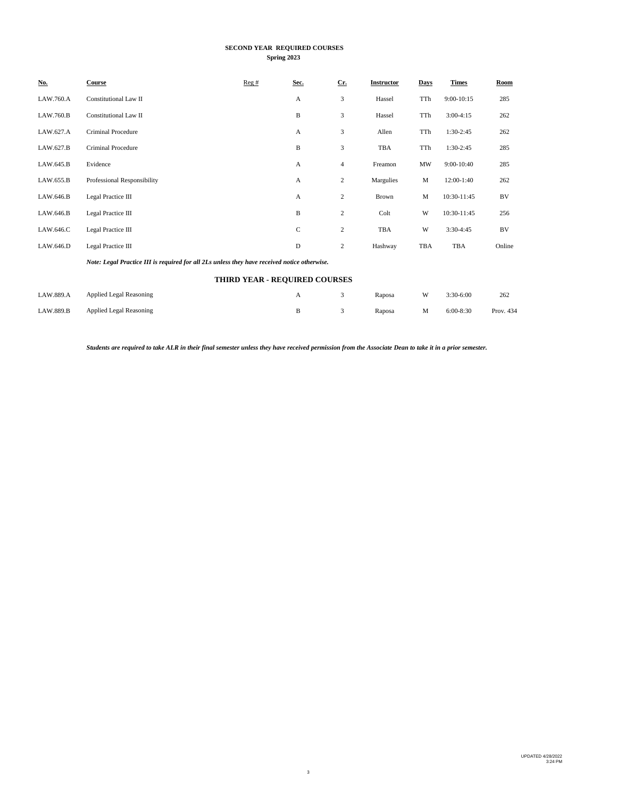# **SECOND YEAR REQUIRED COURSES Spring 2023**

| <u>No.</u> | Course                                                                                       | Reg# | Sec.                          | $Cr$ .           | <b>Instructor</b> | Days | <b>Times</b> | Room   |
|------------|----------------------------------------------------------------------------------------------|------|-------------------------------|------------------|-------------------|------|--------------|--------|
| LAW.760.A  | Constitutional Law II                                                                        |      | А                             | 3                | Hassel            | TTh  | $9:00-10:15$ | 285    |
| LAW.760.B  | Constitutional Law II                                                                        |      | B                             | 3                | Hassel            | TTh  | $3:00-4:15$  | 262    |
| LAW.627.A  | Criminal Procedure                                                                           |      | А                             | 3                | Allen             | TTh  | 1:30-2:45    | 262    |
| LAW.627.B  | <b>Criminal Procedure</b>                                                                    |      | B                             | 3                | TBA               | TTh  | 1:30-2:45    | 285    |
| LAW.645.B  | Evidence                                                                                     |      | А                             | 4                | Freamon           | MW   | 9:00-10:40   | 285    |
| LAW.655.B  | Professional Responsibility                                                                  |      | A                             | 2                | Margulies         | M    | 12:00-1:40   | 262    |
| LAW.646.B  | Legal Practice III                                                                           |      | А                             | $\boldsymbol{2}$ | <b>Brown</b>      | M    | 10:30-11:45  | BV     |
| LAW.646.B  | Legal Practice III                                                                           |      | B                             | 2                | Colt              | W    | 10:30-11:45  | 256    |
| LAW.646.C  | Legal Practice III                                                                           |      | C                             | $\overline{c}$   | TBA               | W    | $3:30-4:45$  | BV     |
| LAW.646.D  | Legal Practice III                                                                           |      | D                             | $\overline{c}$   | Hashway           | TBA  | TBA          | Online |
|            | Note: Legal Practice III is required for all 2Ls unless they have received notice otherwise. |      |                               |                  |                   |      |              |        |
|            |                                                                                              |      | THIRD YEAR - REQUIRED COURSES |                  |                   |      |              |        |
| LAW.889.A  | <b>Applied Legal Reasoning</b>                                                               |      | А                             | 3                | Raposa            | W    | 3:30-6:00    | 262    |

*Students are required to take ALR in their final semester unless they have received permission from the Associate Dean to take it in a prior semester.*

LAW.889.B Applied Legal Reasoning B 3 Raposa M 6:00-8:30 Prov. 434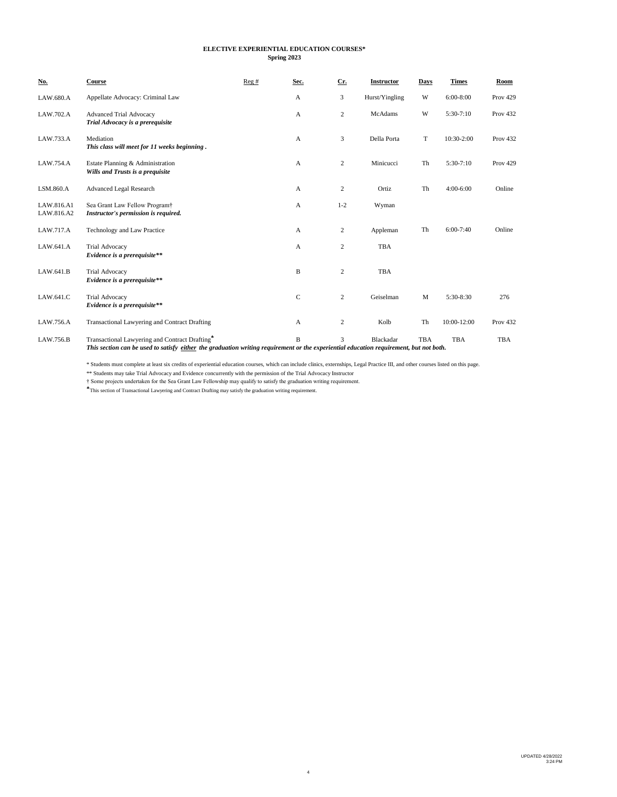#### **ELECTIVE EXPERIENTIAL EDUCATION COURSES\* Spring 2023**

| <u>No.</u>               | Course                                                                                                                                                                                   | Reg# | Sec.         | $Cr$ .             | Instructor     | Days        | <b>Times</b> | Room            |
|--------------------------|------------------------------------------------------------------------------------------------------------------------------------------------------------------------------------------|------|--------------|--------------------|----------------|-------------|--------------|-----------------|
| LAW.680.A                | Appellate Advocacy: Criminal Law                                                                                                                                                         |      | A            | 3                  | Hurst/Yingling | W           | $6:00-8:00$  | <b>Prov 429</b> |
| LAW.702.A                | <b>Advanced Trial Advocacy</b><br>Trial Advocacy is a prerequisite                                                                                                                       |      | А            | $\overline{c}$     | McAdams        | W           | $5:30-7:10$  | <b>Prov 432</b> |
| LAW.733.A                | Mediation<br>This class will meet for 11 weeks beginning.                                                                                                                                |      | A            | 3                  | Della Porta    | T           | 10:30-2:00   | Prov 432        |
| LAW.754.A                | Estate Planning & Administration<br>Wills and Trusts is a prequisite                                                                                                                     |      | $\mathbf{A}$ | $\overline{c}$     | Minicucci      | Th          | $5:30-7:10$  | <b>Prov 429</b> |
| LSM.860.A                | <b>Advanced Legal Research</b>                                                                                                                                                           |      | А            | $\overline{c}$     | Ortiz          | Th          | 4:00-6:00    | Online          |
| LAW.816.A1<br>LAW.816.A2 | Sea Grant Law Fellow Program <sup>+</sup><br>Instructor's permission is required.                                                                                                        |      | A            | $1 - 2$            | Wyman          |             |              |                 |
| LAW.717.A                | Technology and Law Practice                                                                                                                                                              |      | A            | $\overline{c}$     | Appleman       | Th          | $6:00-7:40$  | Online          |
| LAW.641.A                | <b>Trial Advocacy</b><br>Evidence is a prerequisite**                                                                                                                                    |      | A            | $\overline{c}$     | <b>TBA</b>     |             |              |                 |
| LAW.641.B                | <b>Trial Advocacy</b><br>Evidence is a prerequisite**                                                                                                                                    |      | B            | $\overline{c}$     | <b>TBA</b>     |             |              |                 |
| LAW.641.C                | <b>Trial Advocacy</b><br>Evidence is a prerequisite**                                                                                                                                    |      | $\mathsf{C}$ | $\overline{c}$     | Geiselman      | $\mathbf M$ | 5:30-8:30    | 276             |
| LAW.756.A                | Transactional Lawyering and Contract Drafting                                                                                                                                            |      | A            | $\overline{c}$     | Kolb           | Th          | 10:00-12:00  | <b>Prov 432</b> |
| LAW.756.B                | Transactional Lawyering and Contract Drafting*<br>This section can be used to satisfy either the graduation writing requirement or the experiential education requirement, but not both. |      | B            | $\mathbf{\hat{z}}$ | Blackadar      | <b>TBA</b>  | <b>TBA</b>   | <b>TBA</b>      |
|                          |                                                                                                                                                                                          |      |              |                    |                |             |              |                 |

\* Students must complete at least six credits of experiential education courses, which can include clinics, externships, Legal Practice III, and other courses listed on this page.

\*\* Students may take Trial Advocacy and Evidence concurrently with the permission of the Trial Advocacy Instructor

† Some projects undertaken for the Sea Grant Law Fellowship may qualify to satisfy the graduation writing requirement.

This section of Transactional Lawyering and Contract Drafting may satisfy the graduation writing requirement.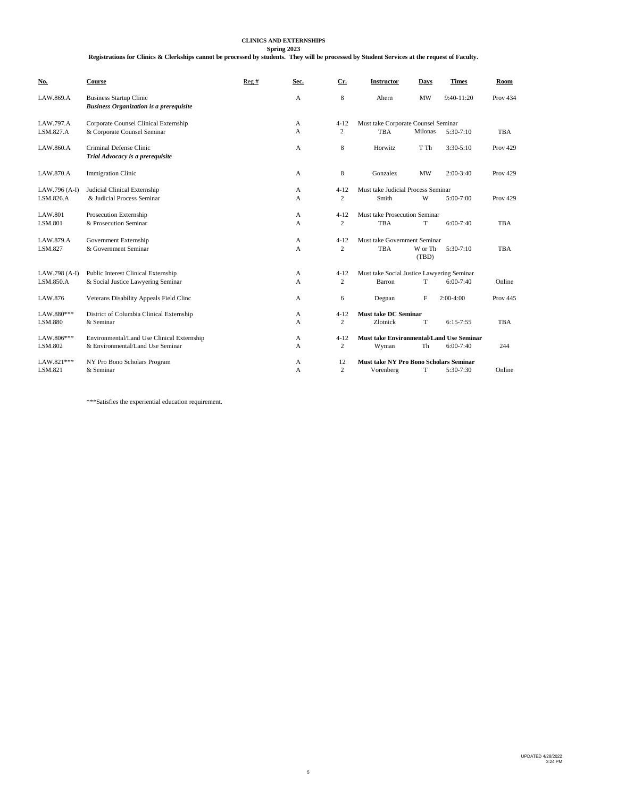# **CLINICS AND EXTERNSHIPS**

**Spring 2023**

**Registrations for Clinics & Clerkships cannot be processed by students. They will be processed by Student Services at the request of Faculty.**

| No.            | Course                                                                           | Reg# | Sec. | Cr.            | <b>Instructor</b>                             | Days             | <b>Times</b> | Room            |
|----------------|----------------------------------------------------------------------------------|------|------|----------------|-----------------------------------------------|------------------|--------------|-----------------|
| LAW.869.A      | <b>Business Startup Clinic</b><br><b>Business Organization is a prerequisite</b> |      | A    | 8              | Ahern                                         | <b>MW</b>        | $9:40-11:20$ | <b>Prov 434</b> |
| LAW.797.A      | Corporate Counsel Clinical Externship                                            |      | A    | $4 - 12$       | Must take Corporate Counsel Seminar           |                  |              |                 |
| LSM.827.A      | & Corporate Counsel Seminar                                                      |      | A    | $\overline{c}$ | <b>TBA</b>                                    | Milonas          | 5:30-7:10    | TBA             |
| LAW.860.A      | Criminal Defense Clinic<br>Trial Advocacy is a prerequisite                      |      | A    | 8              | Horwitz                                       | T Th             | $3:30-5:10$  | <b>Prov 429</b> |
| LAW.870.A      | Immigration Clinic                                                               |      | А    | 8              | Gonzalez                                      | <b>MW</b>        | $2:00-3:40$  | <b>Prov 429</b> |
| LAW.796 (A-I)  | Judicial Clinical Externship                                                     |      | A    | $4 - 12$       | Must take Judicial Process Seminar            |                  |              |                 |
| LSM.826.A      | & Judicial Process Seminar                                                       |      | A    | $\overline{c}$ | Smith                                         | W                | 5:00-7:00    | <b>Prov 429</b> |
| <b>LAW.801</b> | Prosecution Externship                                                           |      | А    | $4 - 12$       | Must take Prosecution Seminar                 |                  |              |                 |
| LSM.801        | & Prosecution Seminar                                                            |      | A    | 2              | <b>TBA</b>                                    | T                | $6:00-7:40$  | <b>TBA</b>      |
| LAW.879.A      | Government Externship                                                            |      | А    | $4 - 12$       | Must take Government Seminar                  |                  |              |                 |
| LSM.827        | & Government Seminar                                                             |      | A    | $\overline{c}$ | <b>TBA</b>                                    | W or Th<br>(TBD) | $5:30-7:10$  | <b>TBA</b>      |
| LAW.798 (A-I)  | Public Interest Clinical Externship                                              |      | А    | $4 - 12$       | Must take Social Justice Lawyering Seminar    |                  |              |                 |
| LSM.850.A      | & Social Justice Lawyering Seminar                                               |      | A    | 2              | Barron                                        | T                | $6:00-7:40$  | Online          |
| LAW.876        | Veterans Disability Appeals Field Clinc                                          |      | А    | 6              | Degnan                                        | F                | $2:00-4:00$  | <b>Prov 445</b> |
| LAW.880***     | District of Columbia Clinical Externship                                         |      | А    | $4 - 12$       | <b>Must take DC Seminar</b>                   |                  |              |                 |
| LSM.880        | & Seminar                                                                        |      | A    | 2              | Zlotnick                                      | T                | $6:15-7:55$  | <b>TBA</b>      |
| LAW.806***     | Environmental/Land Use Clinical Externship                                       |      | А    | $4 - 12$       | Must take Environmental/Land Use Seminar      |                  |              |                 |
| LSM.802        | & Environmental/Land Use Seminar                                                 |      | A    | 2              | Wyman                                         | Th               | 6:00-7:40    | 244             |
| LAW.821 ***    | NY Pro Bono Scholars Program                                                     |      | А    | 12             | <b>Must take NY Pro Bono Scholars Seminar</b> |                  |              |                 |
| LSM.821        | & Seminar                                                                        |      | A    | $\overline{c}$ | Vorenberg                                     | T                | 5:30-7:30    | Online          |

\*\*\*Satisfies the experiential education requirement.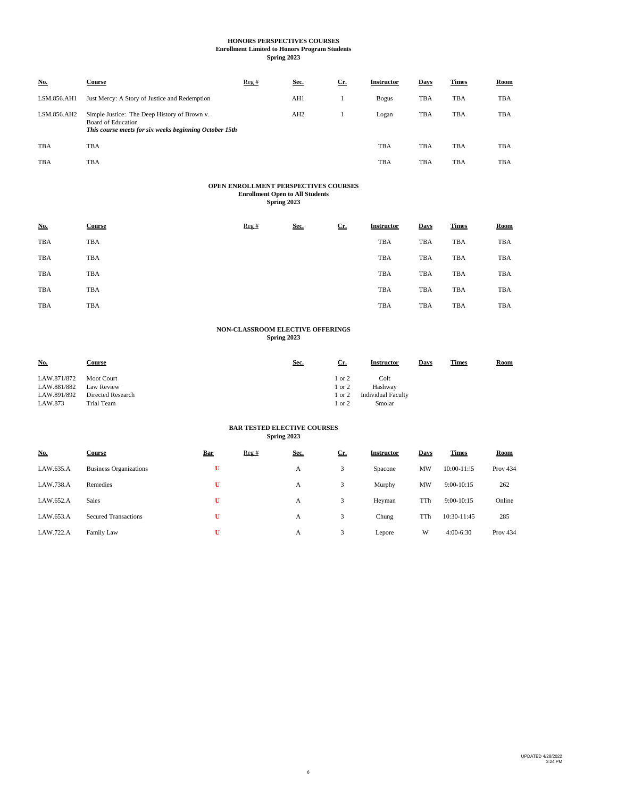### **HONORS PERSPECTIVES COURSES Enrollment Limited to Honors Program Students**

**Spring 2023**

| No.         | <b>Course</b>                                                                                                                       | Reg# | Sec.            | $Cr$ . | <b>Instructor</b> | Days | <b>Times</b> | Room       |
|-------------|-------------------------------------------------------------------------------------------------------------------------------------|------|-----------------|--------|-------------------|------|--------------|------------|
| LSM.856.AH1 | Just Mercy: A Story of Justice and Redemption                                                                                       |      | AH1             |        | <b>Bogus</b>      | TBA  | TBA          | <b>TBA</b> |
| LSM.856.AH2 | Simple Justice: The Deep History of Brown v.<br><b>Board of Education</b><br>This course meets for six weeks beginning October 15th |      | AH <sub>2</sub> |        | Logan             | TBA  | <b>TBA</b>   | <b>TBA</b> |
| <b>TBA</b>  | <b>TBA</b>                                                                                                                          |      |                 |        | <b>TBA</b>        | TBA  | TBA          | <b>TBA</b> |
| TBA         | <b>TBA</b>                                                                                                                          |      |                 |        | TBA               | TBA  | <b>TBA</b>   | <b>TBA</b> |

# **OPEN ENROLLMENT PERSPECTIVES COURSES Enrollment Open to All Students Spring 2023**

| <u>No.</u> | <b>Course</b> | Reg# | Sec. | Cr. | <b>Instructor</b> | Days | <b>Times</b> | <b>Room</b> |
|------------|---------------|------|------|-----|-------------------|------|--------------|-------------|
| TBA        | TBA           |      |      |     | TBA               | TBA  | TBA          | <b>TBA</b>  |
| TBA        | TBA           |      |      |     | TBA               | TBA  | TBA          | <b>TBA</b>  |
| TBA        | TBA           |      |      |     | TBA               | TBA  | TBA          | <b>TBA</b>  |
| TBA        | TBA           |      |      |     | TBA               | TBA  | TBA          | <b>TBA</b>  |
| TBA        | TBA           |      |      |     | <b>TBA</b>        | TBA  | TBA          | <b>TBA</b>  |

### **NON-CLASSROOM ELECTIVE OFFERINGS Spring 2023**

| <u>No.</u>  | Course            | Sec. | <u>Cr.</u> | Instructor                | Days | <b>Times</b> | <b>Room</b> |
|-------------|-------------------|------|------------|---------------------------|------|--------------|-------------|
| LAW.871/872 | <b>Moot Court</b> |      | l or 2     | Colt                      |      |              |             |
| LAW.881/882 | Law Review        |      | 1 or 2     | Hashway                   |      |              |             |
| LAW.891/892 | Directed Research |      | 1 or 2     | <b>Individual Faculty</b> |      |              |             |
| LAW.873     | Trial Team        |      | l or 2     | Smolar                    |      |              |             |

#### **BAR TESTED ELECTIVE COURSES Spring 2023**

| <b>No.</b> | <b>Course</b>                 | <b>Bar</b> | Reg# | Sec. | $Cr$ . | <b>Instructor</b> | Days | <b>Times</b>    | <b>Room</b>     |
|------------|-------------------------------|------------|------|------|--------|-------------------|------|-----------------|-----------------|
| LAW.635.A  | <b>Business Organizations</b> | U          |      | А    | 3      | Spacone           | MW   | $10:00 - 11:15$ | Prov $434$      |
| LAW.738.A  | Remedies                      | U          |      | А    | 3      | Murphy            | MW   | $9:00-10:15$    | 262             |
| LAW.652.A  | <b>Sales</b>                  | Ū          |      | А    | 3      | Heyman            | TTh  | $9:00-10:15$    | Online          |
| LAW.653.A  | <b>Secured Transactions</b>   | U          |      | A    | 3      | Chung             | TTh  | 10:30-11:45     | 285             |
| LAW.722.A  | Family Law                    | U          |      | A    | 3      | Lepore            | W    | $4:00-6:30$     | <b>Prov 434</b> |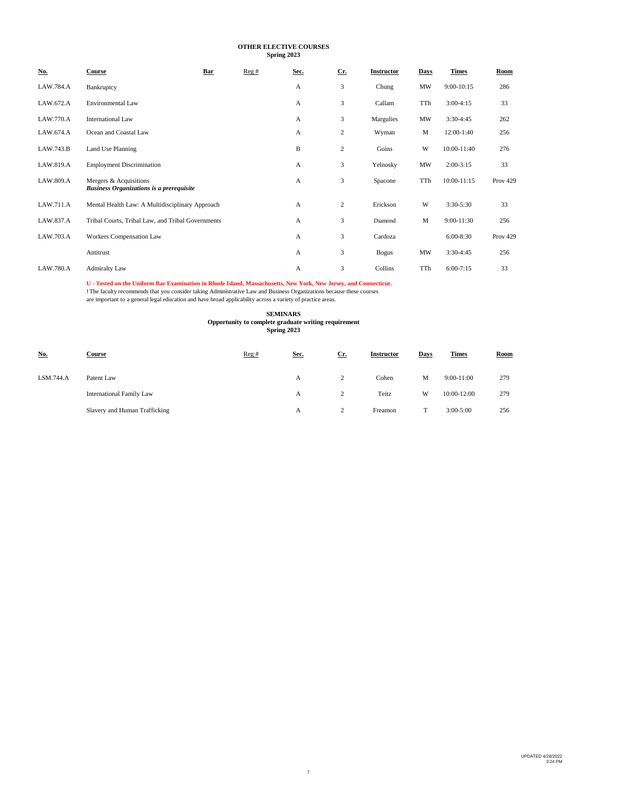# **OTHER ELECTIVE COURSES Spring 2023**

| <u>No.</u>       | Course                                                                    | Bar | Reg# | Sec. | $Cr$ .         | Instructor | Days | <b>Times</b> | Room            |
|------------------|---------------------------------------------------------------------------|-----|------|------|----------------|------------|------|--------------|-----------------|
| LAW.784.A        | Bankruptcy                                                                |     |      | А    | 3              | Chung      | MW   | $9:00-10:15$ | 286             |
| LAW.672.A        | <b>Environmental Law</b>                                                  |     |      | A    | 3              | Callam     | TTh  | $3:00-4:15$  | 33              |
| LAW.770.A        | <b>International Law</b>                                                  |     |      | А    | 3              | Margulies  | MW   | 3:30-4:45    | 262             |
| LAW.674.A        | Ocean and Coastal Law                                                     |     |      | А    | $\overline{c}$ | Wyman      | M    | 12:00-1:40   | 256             |
| LAW.743.B        | Land Use Planning                                                         |     |      | B    | $\overline{c}$ | Goins      | W    | 10:00-11:40  | 276             |
| LAW.819.A        | <b>Employment Discrimination</b>                                          |     |      | А    | 3              | Yelnosky   | MW   | $2:00-3:15$  | 33              |
| LAW.809.A        | Mergers & Acquisitions<br><b>Business Organizations is a prerequisite</b> |     |      | А    | 3              | Spacone    | TTh  | 10:00-11:15  | <b>Prov 429</b> |
| LAW.711.A        | Mental Health Law: A Multidisciplinary Approach                           |     |      | А    | $\overline{c}$ | Erickson   | W    | $3:30-5:30$  | 33              |
| LAW.837.A        | Tribal Courts, Tribal Law, and Tribal Governments                         |     |      | A    | 3              | Diamond    | M    | 9:00-11:30   | 256             |
| LAW.703.A        | Workers Compensation Law                                                  |     |      | А    | 3              | Cardoza    |      | 6:00-8:30    | <b>Prov 429</b> |
|                  | Antitrust                                                                 |     |      | A    | 3              | Bogus      | MW   | 3:30-4:45    | 256             |
| <b>LAW.780.A</b> | <b>Admiralty Law</b>                                                      |     |      | А    | 3              | Collins    | TTh  | $6:00-7:15$  | 33              |

U - Tested on the Uniform Bar Examination in Rhode Island, Massachusetts, New York, New Jersey, and Connecticut.<br>! The faculty recommends that you consider taking Administrative Law and Business Organizations because these

# **SEMINARS**

**Spring 2023 Opportunity to complete graduate writing requirement**

| <u>No.</u> | Course                        | Reg# | Sec. | $Cr$ . | <b>Instructor</b> | Days | <b>Times</b>  | <b>Room</b> |
|------------|-------------------------------|------|------|--------|-------------------|------|---------------|-------------|
| LSM.744.A  | Patent Law                    |      | А    |        | Cohen             | М    | $9:00-11:00$  | 279         |
|            | International Family Law      |      | A    |        | Teitz             | W    | 10:00-12:00   | 279         |
|            | Slavery and Human Trafficking |      | А    |        | Freamon           |      | $3:00 - 5:00$ | 256         |